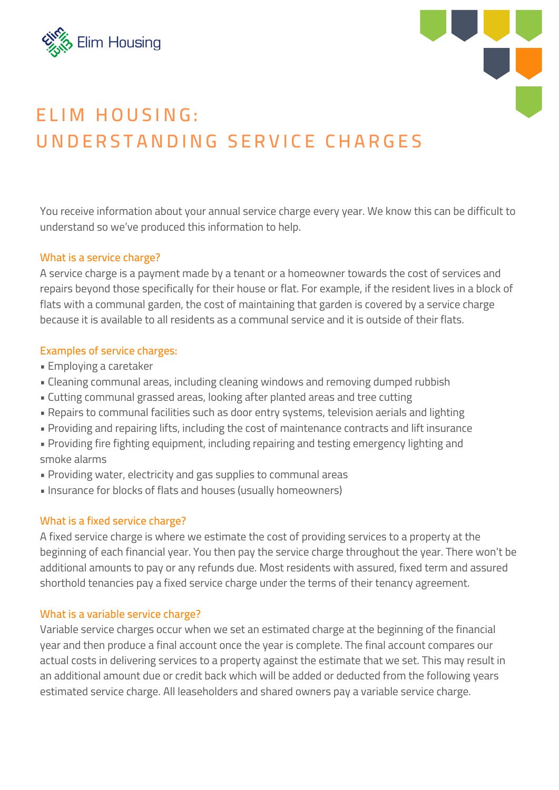



# **E L I M H O U S ING : UND E R S T AND ING S E R V I C E C H A R G E S**

You receive information about your annual service charge every year. We know this can be difficult to understand so we've produced this information to help.

## **What is a service charge?**

A service charge is a payment made by a tenant or a homeowner towards the cost of services and repairs beyond those specifically for their house or flat. For example, if the resident lives in a block of flats with a communal garden, the cost of maintaining that garden is covered by a service charge because it is available to all residents as a communal service and it is outside of their flats.

## **Examples of service charges:**

- Employing a caretaker
- Cleaning communal areas, including cleaning windows and removing dumped rubbish
- Cutting communal grassed areas, looking after planted areas and tree cutting
- Repairs to communal facilities such as door entry systems, television aerials and lighting
- Providing and repairing lifts, including the cost of maintenance contracts and lift insurance
- Providing fire fighting equipment, including repairing and testing emergency lighting and smoke alarms
- Providing water, electricity and gas supplies to communal areas
- Insurance for blocks of flats and houses (usually homeowners)

## **What is a fixed service charge?**

A fixed service charge is where we estimate the cost of providing services to a property at the beginning of each financial year. You then pay the service charge throughout the year. There won't be additional amounts to pay or any refunds due. Most residents with assured, fixed term and assured shorthold tenancies pay a fixed service charge under the terms of their tenancy agreement.

## **What is a variable service charge?**

Variable service charges occur when we set an estimated charge at the beginning of the financial year and then produce a final account once the year is complete. The final account compares our actual costs in delivering services to a property against the estimate that we set. This may result in an additional amount due or credit back which will be added or deducted from the following years estimated service charge. All leaseholders and shared owners pay a variable service charge.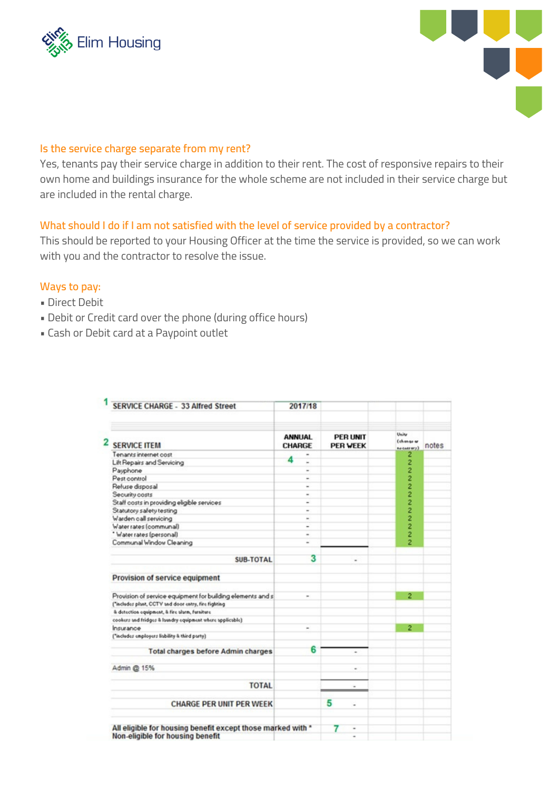



#### **Is the service charge separate from my rent?**

Yes, tenants pay their service charge in addition to their rent. The cost of responsive repairs to their own home and buildings insurance for the whole scheme are not included in their service charge but are included in the rental charge.

#### **What should I do if I am not satisfied with the level of service provided by a contractor?**

This should be reported to your Housing Officer at the time the service is provided, so we can work with you and the contractor to resolve the issue.

#### **Ways to pay:**

- Direct Debit
- Debit or Credit card over the phone (during office hours)
- Cash or Debit card at a Paypoint outlet

| <b>SERVICE CHARGE - 33 Alfred Street</b>                                                        | 2017/18                        |                                    |                                    |       |
|-------------------------------------------------------------------------------------------------|--------------------------------|------------------------------------|------------------------------------|-------|
| <b>SERVICE ITEM</b>                                                                             | <b>ANNUAL</b><br><b>CHARGE</b> | <b>PER UNIT</b><br><b>PER WEEK</b> | Unity<br>Columns ar<br>he terrary) | notes |
| Tenants internet cost                                                                           |                                |                                    | 2                                  |       |
| Lift Repairs and Servicing                                                                      | Δ                              |                                    | 2                                  |       |
| Payphone                                                                                        | $\blacksquare$                 |                                    |                                    |       |
| Pest control                                                                                    | ۰                              |                                    | $\frac{2}{2}$                      |       |
| Refuse disposal                                                                                 | ٠                              |                                    | 2                                  |       |
| Security costs                                                                                  | ×.                             |                                    |                                    |       |
| Staff costs in providing eligible services                                                      | -                              |                                    | $\frac{2}{2}$                      |       |
| Statutory safety testing                                                                        | $\overline{a}$                 |                                    | 2                                  |       |
| Warden call servicing                                                                           | ×.                             |                                    | 2                                  |       |
| Water rates (communal)                                                                          | -                              |                                    | 2                                  |       |
| * Water rates (personal)                                                                        | $\blacksquare$                 |                                    | 2                                  |       |
| Communal Window Cleaning                                                                        | ٠                              |                                    | 2                                  |       |
| <b>SUB-TOTAL</b>                                                                                | 3                              | ٠                                  |                                    |       |
| Provision of service equipment                                                                  |                                |                                    |                                    |       |
| Provision of service equipment for building elements and s                                      | $\overline{a}$                 |                                    | 2                                  |       |
| ["includes plant, CCTV and door entry, fire fighting                                            |                                |                                    |                                    |       |
| & detection equipment, & fire slarm, furniture                                                  |                                |                                    |                                    |       |
| cookers and fridges & laundry equipment where applicable)                                       |                                |                                    |                                    |       |
| Insurance                                                                                       | ٠                              |                                    | $\overline{2}$                     |       |
| ("includes employers liability & third party)                                                   |                                |                                    |                                    |       |
| <b>Total charges before Admin charges</b>                                                       | 6                              | ٠                                  |                                    |       |
| Admin @ 15%                                                                                     |                                | $\alpha$                           |                                    |       |
| <b>TOTAL</b>                                                                                    |                                | w                                  |                                    |       |
| <b>CHARGE PER UNIT PER WEEK</b>                                                                 |                                | 5<br>$\overline{a}$                |                                    |       |
| All eligible for housing benefit except those marked with *<br>Non-eligible for housing benefit |                                | ٠<br>٠                             |                                    |       |